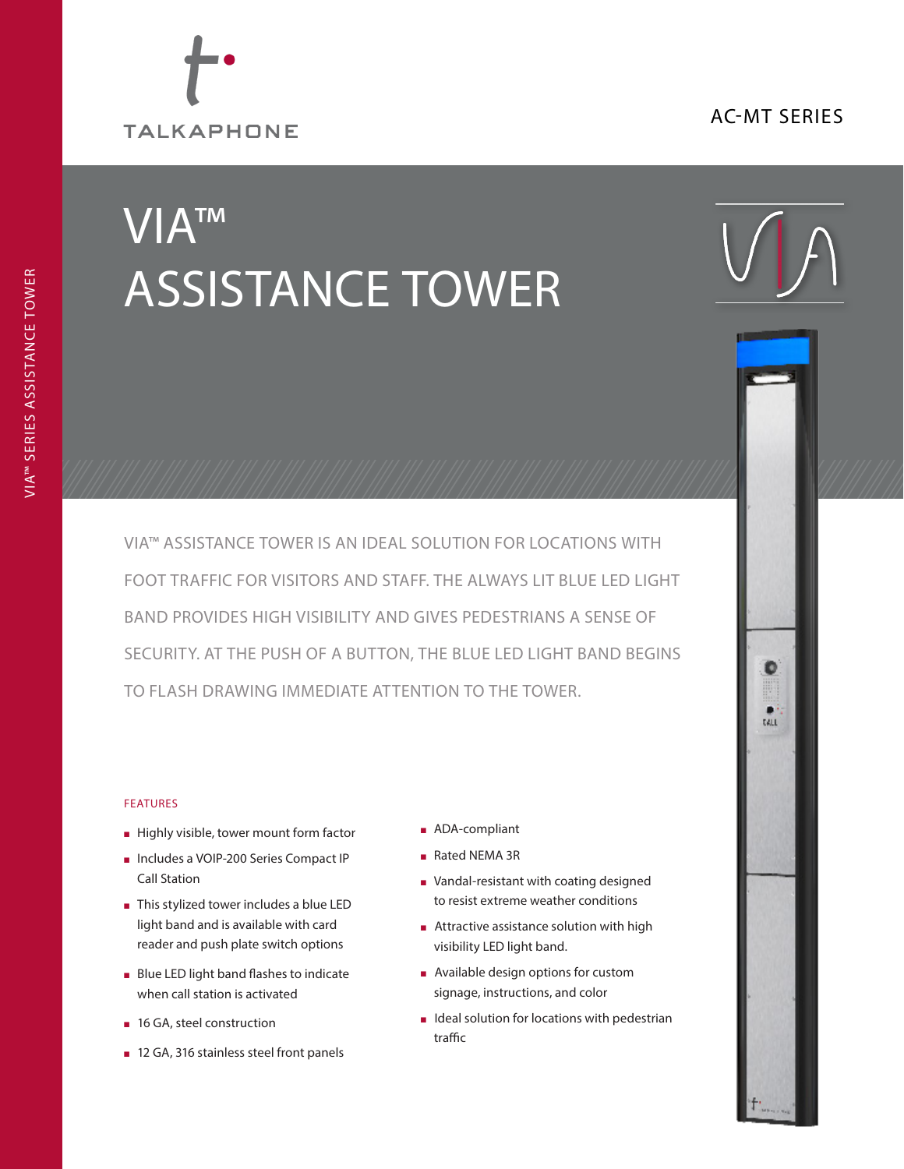## AC-MT SERIES



# VIA™ ASSISTANCE TOWER



۰

tall

VIA™ ASSISTANCE TOWER IS AN IDEAL SOLUTION FOR LOCATIONS WITH FOOT TRAFFIC FOR VISITORS AND STAFF. THE ALWAYS LIT BLUE LED LIGHT BAND PROVIDES HIGH VISIBILITY AND GIVES PEDESTRIANS A SENSE OF SECURITY. AT THE PUSH OF A BUTTON, THE BLUE LED LIGHT BAND BEGINS TO FLASH DRAWING IMMEDIATE ATTENTION TO THE TOWER.

#### FEATURES

- <sup>n</sup> Highly visible, tower mount form factor
- <sup>n</sup> Includes a VOIP-200 Series Compact IP Call Station
- This stylized tower includes a blue LED light band and is available with card reader and push plate switch options
- **Blue LED light band flashes to indicate** when call station is activated
- 16 GA, steel construction
- 12 GA, 316 stainless steel front panels
- ADA-compliant
- Rated NEMA 3R
- <sup>n</sup> Vandal-resistant with coating designed to resist extreme weather conditions
- $\blacksquare$  Attractive assistance solution with high visibility LED light band.
- $\blacksquare$  Available design options for custom signage, instructions, and color
- $\blacksquare$  Ideal solution for locations with pedestrian traffic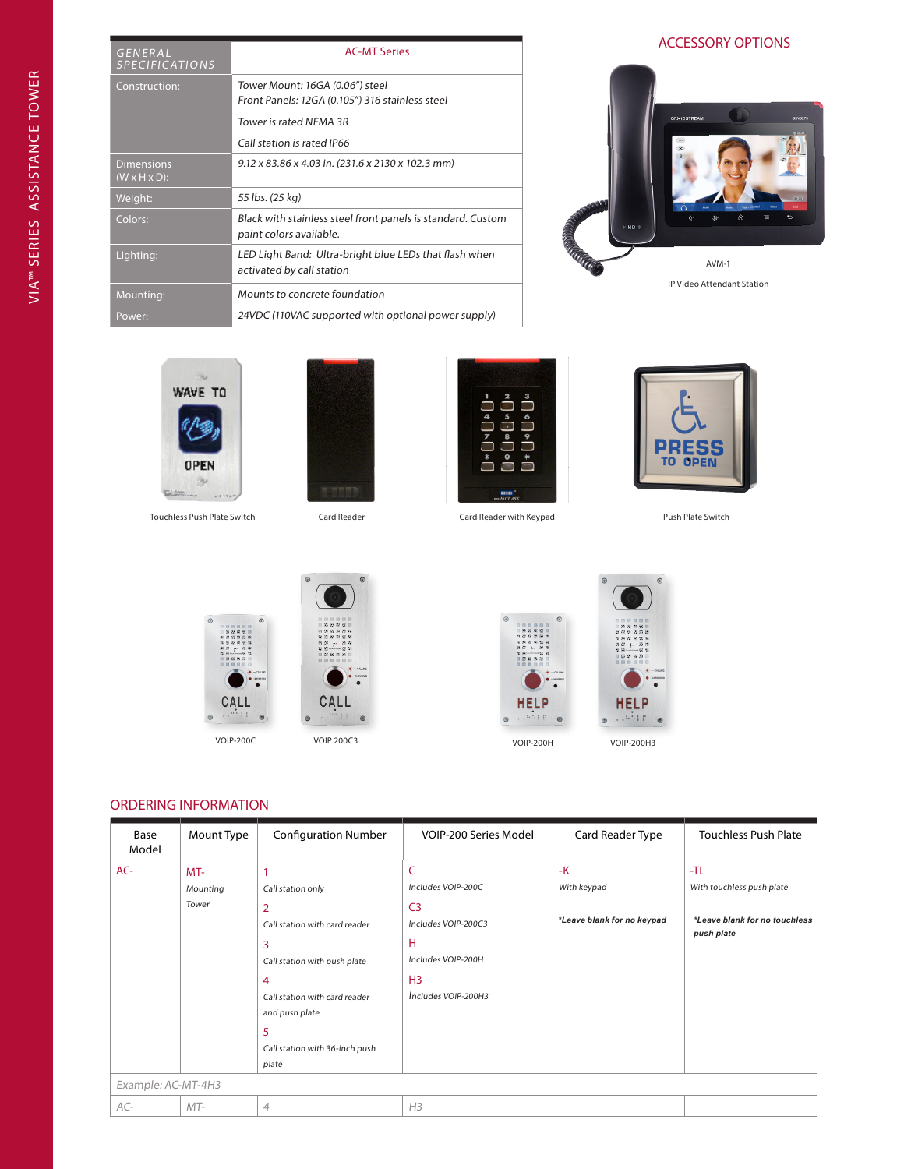| GENERAL<br><b>SPECIFICATIONS</b>               | <b>AC-MT Series</b>                                                                    |
|------------------------------------------------|----------------------------------------------------------------------------------------|
| Construction:                                  | Tower Mount: 16GA (0.06") steel<br>Front Panels: 12GA (0.105") 316 stainless steel     |
|                                                | Tower is rated NEMA 3R<br>Call station is rated IP66                                   |
| <b>Dimensions</b><br>$(W \times H \times D)$ : | 9.12 x 83.86 x 4.03 in. (231.6 x 2130 x 102.3 mm)                                      |
| Weight:                                        | 55 lbs. (25 kg)                                                                        |
| Colors:                                        | Black with stainless steel front panels is standard. Custom<br>paint colors available. |
| Lighting:                                      | LED Light Band: Ultra-bright blue LEDs that flash when<br>activated by call station    |
| Mounting:                                      | Mounts to concrete foundation                                                          |
| Power:                                         | 24VDC (110VAC supported with optional power supply)                                    |



s, **WAVE TO OPEN** B.

Touchless Push Plate Switch Card Reader Card Reader Card Reader with Keypad Push Plate Switch









CALI



HEL

 $14.447$ 

### ORDERING INFORMATION

| Base<br>Model      | Mount Type                 | <b>Configuration Number</b>                                                                                                                                                                               | VOIP-200 Series Model                                                                                                                | Card Reader Type                                  | <b>Touchless Push Plate</b>                                                     |
|--------------------|----------------------------|-----------------------------------------------------------------------------------------------------------------------------------------------------------------------------------------------------------|--------------------------------------------------------------------------------------------------------------------------------------|---------------------------------------------------|---------------------------------------------------------------------------------|
| AC-                | $MT-$<br>Mounting<br>Tower | 1<br>Call station only<br>2<br>Call station with card reader<br>3<br>Call station with push plate<br>4<br>Call station with card reader<br>and push plate<br>5<br>Call station with 36-inch push<br>plate | C<br>Includes VOIP-200C<br>C <sub>3</sub><br>Includes VOIP-200C3<br>н<br>Includes VOIP-200H<br>H <sub>3</sub><br>Includes VOIP-200H3 | $-K$<br>With keypad<br>*Leave blank for no keypad | -TL<br>With touchless push plate<br>*Leave blank for no touchless<br>push plate |
| Example: AC-MT-4H3 |                            |                                                                                                                                                                                                           |                                                                                                                                      |                                                   |                                                                                 |
| AC-                | $MT-$                      | $\overline{4}$                                                                                                                                                                                            | H <sub>3</sub>                                                                                                                       |                                                   |                                                                                 |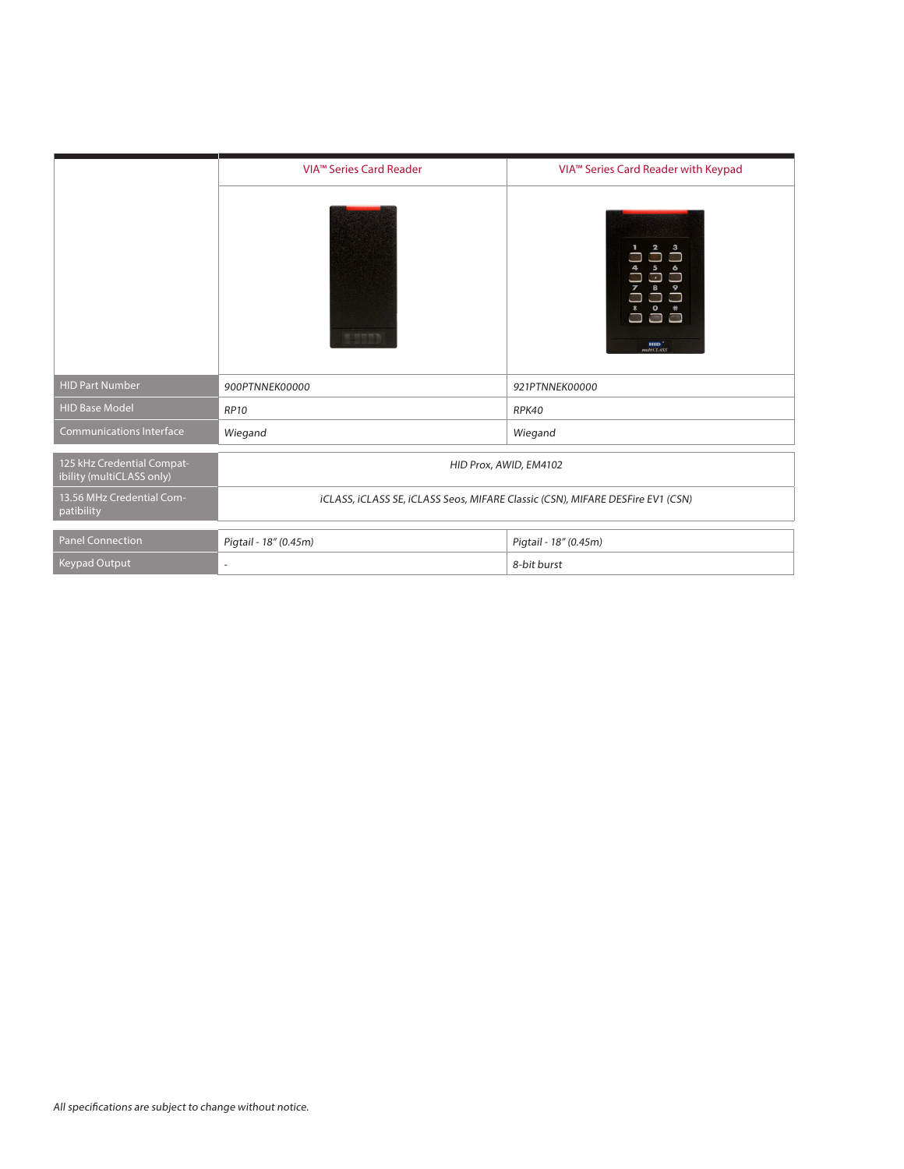|                                                         | VIA <sup>™</sup> Series Card Reader                                            | VIA <sup>™</sup> Series Card Reader with Keypad                                                                                                 |  |
|---------------------------------------------------------|--------------------------------------------------------------------------------|-------------------------------------------------------------------------------------------------------------------------------------------------|--|
|                                                         | ■ 田田田野                                                                         | $\mathbf{z}$<br>$\mathbf{3}$<br>5<br>G<br>D<br>8<br>L<br>$\bullet$<br>$\sim$<br>$\overline{\phantom{a}}$<br>J<br>HID <sup>'</sup><br>multiCLASS |  |
| <b>HID Part Number</b>                                  | 900PTNNEK00000                                                                 | 921PTNNEK00000                                                                                                                                  |  |
| <b>HID Base Model</b>                                   | <b>RP10</b>                                                                    | RPK40                                                                                                                                           |  |
| <b>Communications Interface</b>                         | Wiegand                                                                        | Wiegand                                                                                                                                         |  |
| 125 kHz Credential Compat-<br>ibility (multiCLASS only) | HID Prox, AWID, EM4102                                                         |                                                                                                                                                 |  |
| 13.56 MHz Credential Com-<br>patibility                 | ICLASS, ICLASS SE, ICLASS Seos, MIFARE Classic (CSN), MIFARE DESFire EV1 (CSN) |                                                                                                                                                 |  |
| Panel Connection                                        | Pigtail - 18" (0.45m)                                                          | Pigtail - 18" (0.45m)                                                                                                                           |  |
| <b>Keypad Output</b>                                    | $\overline{a}$                                                                 | 8-bit burst                                                                                                                                     |  |